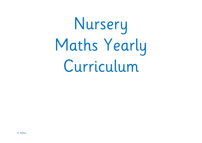# Nursery Maths Yearly Curriculum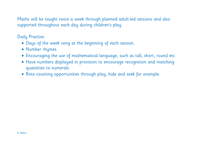Maths will be taught twice a week through planned adult-led sessions and also supported throughout each day during children's play.

Daily Practise:

- Days of the week song at the beginning of each session.
- Number rhymes
- Encouraging the use of mathematical language, such as tall, short, round etc.
- Have numbers displayed in provision to encourage recognition and matching quantities to numerals.
- Rote counting opportunities through play, hide and seek for example.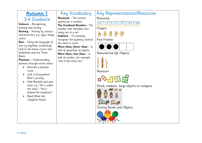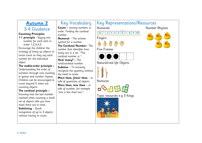### **Autumn 2** 3-4 Guidance **Counting Principles 1-1 principle -** Saying one number for each item in

order 1,2,3,4,5. Encourage the children the strategy of lining up objects to touch count as they say each number for the individual object.

**The stable-order principle –** Understanding the order of numbers through rote counting in games and number rhymes. Children can be encouraged to count beyond 5 when not counting objects.

#### **The cardinal principle –**

Knowing that the last number reached when counting a small set of objects tells you how mant there are in total. **Subitising** – Quick recognition of up to 3 objects

without having to count.

Key Vocabulary **Count –** reciting numbers in order. Finding the cardinal number. **Numeral** – The written symbol for a number. **The Cardinal Number**– The number that identifies how many are in a set. "The cardinal number is…" **How many? –** The total/cardinal number. **Subitise** – To instantly recognise the quantity without the need to count. **More than, fewer than** – in talk of quantities of objects. **More than, less than** – in talk of number, for example "one is less than two."



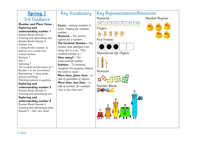#### Key Vocabulary Key Representations/Resources **Spring 1** Numerals Number Rhymes 3-4 Guidance 0 1 2 3 4 5 6 7 8 9 10 **Number and Place Value - Count –** reciting numbers in **Exploring and**  Fingers order. Finding the cardinal **understanding number 1**  number. Number Blocks Episode 1. **Numeral** – The written Counting and representing one. Five Frames symbol for a number. Number Blocks Episode 2. **The Cardinal Number**– The Another one. number that identifies how 1 being the first number, its many are in a set. "The position on a number line, Natural/real life Objects cardinal number is " ordinal numbers Numicon 1 **How many? –** The Dice 1 total/cardinal number. Subitising 1 **Subitise** – To instantly The numeral and formation of 1 recognise the quantity without Number 1 in the environment Numicon the need to count. Representing 1 using marks, **More than, fewer than** – in pictures and finger talk of quantities of objects. Matching numeral to quantity **More than, less than** – in **Exploring and**  Number Blockstalk of number, for example **understanding number 2** "one is less than two." **CLOCKE** Number Blocks Episode 3. Counting and representing two. **Exploring and understanding number 3**  Number Blocks Episode 4. Counting and representing three. 00  $\overline{\mathbf{O}}$   $\overline{\mathbf{O}}$ Episode 5 – One, two, three!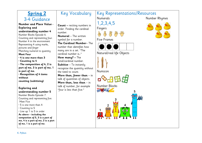| <b>Spring 2</b>                                             | Key Vocabulary                                           | <b>Key Representations/Resources</b>     |               |
|-------------------------------------------------------------|----------------------------------------------------------|------------------------------------------|---------------|
| 3-4 Guidance                                                |                                                          | <b>Numerals</b>                          | Number Rhymes |
| Number and Place Value -                                    |                                                          | 1, 2, 3, 4, 5                            |               |
| <b>Exploring and</b>                                        | <b>Count</b> – reciting numbers in                       |                                          |               |
| understanding number 4                                      | order. Finding the cardinal<br>number.                   | Fingers                                  |               |
| Number Blocks Episode 6.                                    | <b>Numeral</b> - The written                             | $\beta_2$<br>$\frac{\mu}{\sqrt{2}}$<br>总 |               |
| Counting and representing four.                             | symbol for a number.                                     | <b>Five Frames</b>                       |               |
| Number 4 in the environment<br>Representing 4 using marks,  | The Cardinal Number-The                                  |                                          |               |
| pictures and finger                                         | number that identifies how                               |                                          |               |
| Matching numeral to quantity                                | many are in a set. "The                                  |                                          |               |
| <b>Meet Four</b>                                            | cardinal number is"                                      | Natural/real life Objects                |               |
| $\cdot$ 4 is one more than 3<br>• Counting to 4             | How many? - The<br>total/cardinal number.                |                                          |               |
| · The composition of 4, 2 is                                | Subitise - To instantly                                  |                                          |               |
| part of me, 3 is part of me, 1                              | recognise the quantity without                           |                                          |               |
| is part of me.                                              | the need to count.                                       | Numicon                                  |               |
| · Recognition of 4 items<br>without                         | More than, fewer than $-$ in                             |                                          |               |
| counting (subitising)                                       | talk of quantities of objects.                           | OHELS                                    |               |
|                                                             | More than, less than - in<br>talk of number, for example | Number Blocks                            |               |
| <b>Exploring and</b>                                        | "four is less than five."                                | BIOCA                                    |               |
| understanding number 5                                      |                                                          |                                          |               |
| Number Blocks Episode 7.<br>Counting and representing five. |                                                          |                                          |               |
| Meet Five                                                   |                                                          |                                          |               |
| $\cdot$ 5 is one more than 4                                |                                                          |                                          |               |
| $\cdot$ Counting to 5                                       |                                                          | 00<br>$\bullet$                          |               |
| · Line up 1 to 5 in order<br>As above - including the       |                                                          |                                          |               |
| compostion of 5, 3 is a part of                             |                                                          |                                          |               |
| me, 4 is a part of me, 2 is a part                          |                                                          |                                          |               |
| of me, 1 is a part of me.                                   |                                                          |                                          |               |
|                                                             |                                                          |                                          |               |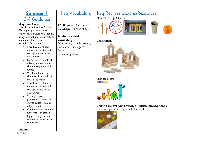## **Summer 1** 3-4 Guidance

## Key Vocabulary

**Shape and Space**

Talk about and explore 2D and 3D shapes (for example, circles, rectangles, triangles and cuboids) using informal and mathematical language: 'sides', 'corners'; 'straight', 'flat', 'round'.

- Introduce 2D shapes names, properties and real life shapes in the environment
- Kim's Game what's the missing shape? Reinforce shape recognition and names.
- 2D shape hunt. Use shape cards as tools to match the shape.
- Introduce 3D shapes names, properties and real life shapes in the environment
- Sorting shapes by properties – pointy, flat, curved edges, straight edges, round.
- Combine shapes to make new ones - an arch, a bigger triangle, using 2 triangles to construct a square etc.

**2D Shape** – a flat shape. **3D Shape** – a solid shape.

#### **Adults to model vocabulary:**

Edge, curve, straight, round, flat, corner, sides, faces. Pattern Repeating pattern

#### Key Representations/Resources Natural/real life Objects





Construction



Number Blocks

Creating patterns with a variety of objects, including natural materials, painting stripes, building blocks.



**Pattern**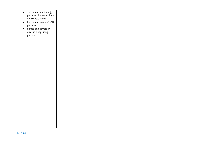| $\bullet$ | Talk about and identify  |  |
|-----------|--------------------------|--|
|           | patterns all around them |  |
|           |                          |  |
|           | e.g stripey, spotty.     |  |
| $\bullet$ | Extend and create ABAB   |  |
|           |                          |  |
|           | patterns                 |  |
| $\bullet$ | Notice and correct an    |  |
|           |                          |  |
|           | error in a repeating     |  |
|           | pattern.                 |  |
|           |                          |  |
|           |                          |  |
|           |                          |  |
|           |                          |  |
|           |                          |  |
|           |                          |  |
|           |                          |  |
|           |                          |  |
|           |                          |  |
|           |                          |  |
|           |                          |  |
|           |                          |  |
|           |                          |  |
|           |                          |  |
|           |                          |  |
|           |                          |  |
|           |                          |  |
|           |                          |  |
|           |                          |  |
|           |                          |  |
|           |                          |  |
|           |                          |  |
|           |                          |  |
|           |                          |  |
|           |                          |  |
|           |                          |  |
|           |                          |  |
|           |                          |  |
|           |                          |  |
|           |                          |  |
|           |                          |  |
|           |                          |  |
|           |                          |  |
|           |                          |  |
|           |                          |  |
|           |                          |  |
|           |                          |  |